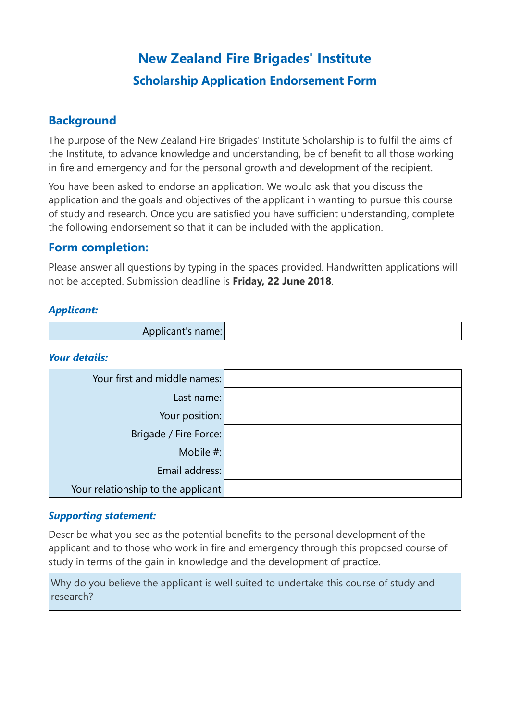# **New Zealand Fire Brigades' Institute Scholarship Application Endorsement Form**

### **Background**

The purpose of the New Zealand Fire Brigades' Institute Scholarship is to fulfil the aims of the Institute, to advance knowledge and understanding, be of benefit to all those working in fire and emergency and for the personal growth and development of the recipient.

You have been asked to endorse an application. We would ask that you discuss the application and the goals and objectives of the applicant in wanting to pursue this course of study and research. Once you are satisfied you have sufficient understanding, complete the following endorsement so that it can be included with the application.

### **Form completion:**

Please answer all questions by typing in the spaces provided. Handwritten applications will not be accepted. Submission deadline is **Friday, 22 June 2018**.

#### *Applicant:*

| Applicant's name: |  |  |
|-------------------|--|--|
|-------------------|--|--|

#### *Your details:*

| Your first and middle names:       |  |
|------------------------------------|--|
| Last name:                         |  |
| Your position:                     |  |
| Brigade / Fire Force:              |  |
| Mobile #:                          |  |
| Email address:                     |  |
| Your relationship to the applicant |  |

#### *Supporting statement:*

Describe what you see as the potential benefits to the personal development of the applicant and to those who work in fire and emergency through this proposed course of study in terms of the gain in knowledge and the development of practice.

Why do you believe the applicant is well suited to undertake this course of study and research?